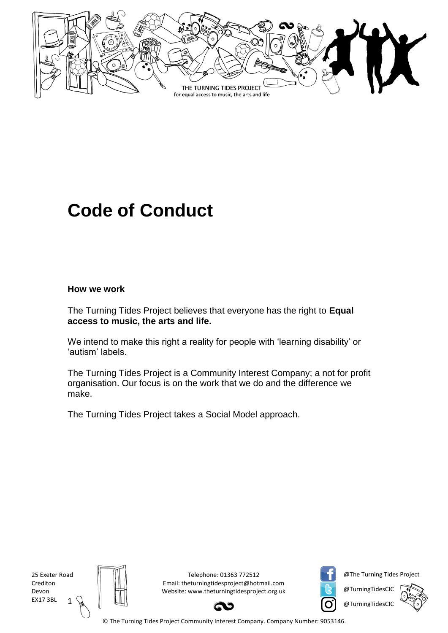

# **Code of Conduct**

#### **How we work**

The Turning Tides Project believes that everyone has the right to **Equal access to music, the arts and life.**

We intend to make this right a reality for people with 'learning disability' or 'autism' labels.

The Turning Tides Project is a Community Interest Company; a not for profit organisation. Our focus is on the work that we do and the difference we make.

The Turning Tides Project takes a [Social Model](http://www.theturningtidesproject.org.uk/the-social-model.html) approach.

1 25 Exeter Road Crediton Devon EX17 3BL



Telephone: 01363 772512 Email: theturningtidesproject@hotmail.com Website: www.theturningtidesproject.org.uk



@The Turning Tides Project

@TurningTidesCIC @TurningTidesCIC



© The Turning Tides Project Community Interest Company. Company Number: 9053146.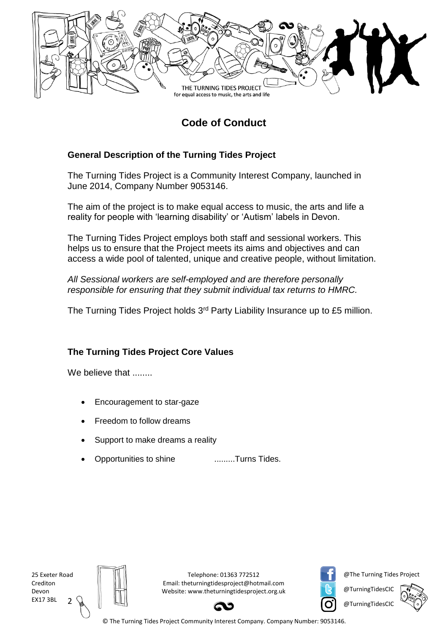

## **Code of Conduct**

#### **General Description of the Turning Tides Project**

The Turning Tides Project is a Community Interest Company, launched in June 2014, Company Number 9053146.

The aim of the project is to make equal access to music, the arts and life a reality for people with 'learning disability' or 'Autism' labels in Devon.

The Turning Tides Project employs both staff and sessional workers. This helps us to ensure that the Project meets its aims and objectives and can access a wide pool of talented, unique and creative people, without limitation.

*All Sessional workers are self-employed and are therefore personally responsible for ensuring that they submit individual tax returns to HMRC.*

The Turning Tides Project holds 3<sup>rd</sup> Party Liability Insurance up to £5 million.

#### **The Turning Tides Project Core Values**

We believe that ........

- Encouragement to star-gaze
- Freedom to follow dreams
- Support to make dreams a reality
- Opportunities to shine .........Turns Tides.

 $\mathcal{I}$ 25 Exeter Road Crediton Devon EX17 3BL



Telephone: 01363 772512 Email: theturningtidesproject@hotmail.com Website: www.theturningtidesproject.org.uk



@The Turning Tides Project

@TurningTidesCIC @TurningTidesCIC



© The Turning Tides Project Community Interest Company. Company Number: 9053146.